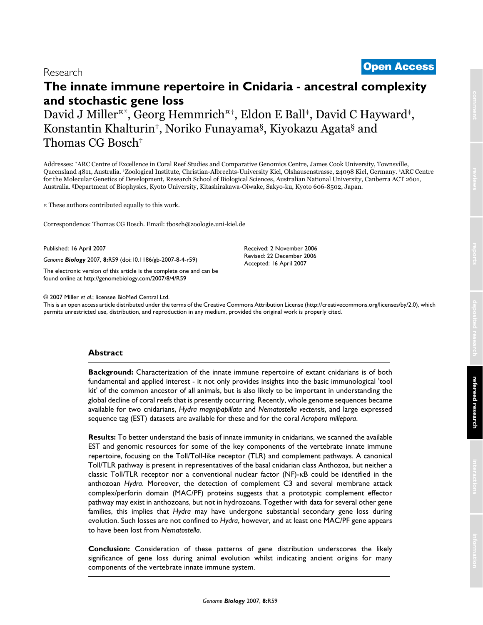# <sup>2007</sup> Miller et al. Volume 8, Issue 4, Article R59 **[Open Access](http://www.biomedcentral.com/info/about/charter/)** Research

# **The innate immune repertoire in Cnidaria - ancestral complexity and stochastic gene loss**

David J Miller<sup>¤\*</sup>, Georg Hemmrich<sup>¤†</sup>, Eldon E Ball<sup>‡</sup>, David C Hayward<sup>‡</sup>, Konstantin Khalturin†, Noriko Funayama§, Kiyokazu Agata§ and Thomas CG Bosch†

Addresses: \*ARC Centre of Excellence in Coral Reef Studies and Comparative Genomics Centre, James Cook University, Townsville, Queensland 4811, Australia. †Zoological Institute, Christian-Albrechts-University Kiel, Olshausenstrasse, 24098 Kiel, Germany. ‡ARC Centre for the Molecular Genetics of Development, Research School of Biological Sciences, Australian National University, Canberra ACT 2601, Australia. §Department of Biophysics, Kyoto University, Kitashirakawa-Oiwake, Sakyo-ku, Kyoto 606-8502, Japan.

¤ These authors contributed equally to this work.

Correspondence: Thomas CG Bosch. Email: tbosch@zoologie.uni-kiel.de

Published: 16 April 2007

*Genome Biology* 2007, **8:**R59 (doi:10.1186/gb-2007-8-4-r59)

[The electronic version of this article is the complete one and can be](http://genomebiology.com/2007/8/4/R59)  found online at http://genomebiology.com/2007/8/4/R59

© 2007 Miller *et al*.; licensee BioMed Central Ltd.

[This is an open access article distributed under the terms of the Creative Commons Attribution License \(http://creativecommons.org/licenses/by/2.0\), which](http://creativecommons.org/licenses/by/2.0)  permits unrestricted use, distribution, and reproduction in any medium, provided the original work is properly cited.

Received: 2 November 2006 Revised: 22 December 2006 Accepted: 16 April 2007

# **Abstract**

**Background:** Characterization of the innate immune repertoire of extant cnidarians is of both fundamental and applied interest - it not only provides insights into the basic immunological 'tool kit' of the common ancestor of all animals, but is also likely to be important in understanding the global decline of coral reefs that is presently occurring. Recently, whole genome sequences became available for two cnidarians, *Hydra magnipapillata* and *Nematostella vectensis*, and large expressed sequence tag (EST) datasets are available for these and for the coral *Acropora millepora*.

**Results:** To better understand the basis of innate immunity in cnidarians, we scanned the available EST and genomic resources for some of the key components of the vertebrate innate immune repertoire, focusing on the Toll/Toll-like receptor (TLR) and complement pathways. A canonical Toll/TLR pathway is present in representatives of the basal cnidarian class Anthozoa, but neither a classic Toll/TLR receptor nor a conventional nuclear factor (NF)-κB could be identified in the anthozoan *Hydra*. Moreover, the detection of complement C3 and several membrane attack complex/perforin domain (MAC/PF) proteins suggests that a prototypic complement effector pathway may exist in anthozoans, but not in hydrozoans. Together with data for several other gene families, this implies that *Hydra* may have undergone substantial secondary gene loss during evolution. Such losses are not confined to *Hydra*, however, and at least one MAC/PF gene appears to have been lost from *Nematostella*.

**Conclusion:** Consideration of these patterns of gene distribution underscores the likely significance of gene loss during animal evolution whilst indicating ancient origins for many components of the vertebrate innate immune system.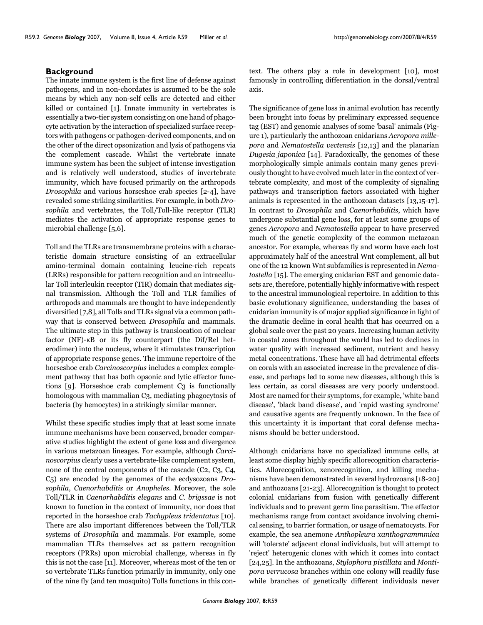#### **Background**

The innate immune system is the first line of defense against pathogens, and in non-chordates is assumed to be the sole means by which any non-self cells are detected and either killed or contained [1]. Innate immunity in vertebrates is essentially a two-tier system consisting on one hand of phagocyte activation by the interaction of specialized surface receptors with pathogens or pathogen-derived components, and on the other of the direct opsonization and lysis of pathogens via the complement cascade. Whilst the vertebrate innate immune system has been the subject of intense investigation and is relatively well understood, studies of invertebrate immunity, which have focused primarily on the arthropods *Drosophila* and various horseshoe crab species [2-4], have revealed some striking similarities. For example, in both *Drosophila* and vertebrates, the Toll/Toll-like receptor (TLR) mediates the activation of appropriate response genes to microbial challenge [5,6].

Toll and the TLRs are transmembrane proteins with a characteristic domain structure consisting of an extracellular amino-terminal domain containing leucine-rich repeats (LRRs) responsible for pattern recognition and an intracellular Toll interleukin receptor (TIR) domain that mediates signal transmission. Although the Toll and TLR families of arthropods and mammals are thought to have independently diversified [7,8], all Tolls and TLRs signal via a common pathway that is conserved between *Drosophila* and mammals. The ultimate step in this pathway is translocation of nuclear factor (NF)-κB or its fly counterpart (the Dif/Rel heterodimer) into the nucleus, where it stimulates transcription of appropriate response genes. The immune repertoire of the horseshoe crab *Carcinoscorpius* includes a complex complement pathway that has both opsonic and lytic effector functions [9]. Horseshoe crab complement C3 is functionally homologous with mammalian C3, mediating phagocytosis of bacteria (by hemocytes) in a strikingly similar manner.

Whilst these specific studies imply that at least some innate immune mechanisms have been conserved, broader comparative studies highlight the extent of gene loss and divergence in various metazoan lineages. For example, although *Carcinoscorpius* clearly uses a vertebrate-like complement system, none of the central components of the cascade (C2, C3, C4, C5) are encoded by the genomes of the ecdysozoans *Drosophila*, *Caenorhabditis* or *Anopheles*. Moreover, the sole Toll/TLR in *Caenorhabditis elegans* and *C. brigssae* is not known to function in the context of immunity, nor does that reported in the horseshoe crab *Tachypleus tridentatus* [10]. There are also important differences between the Toll/TLR systems of *Drosophila* and mammals. For example, some mammalian TLRs themselves act as pattern recognition receptors (PRRs) upon microbial challenge, whereas in fly this is not the case [11]. Moreover, whereas most of the ten or so vertebrate TLRs function primarily in immunity, only one of the nine fly (and ten mosquito) Tolls functions in this context. The others play a role in development [10], most famously in controlling differentiation in the dorsal/ventral axis.

The significance of gene loss in animal evolution has recently been brought into focus by preliminary expressed sequence tag (EST) and genomic analyses of some 'basal' animals (Figure [1](#page-2-0)), particularly the anthozoan cnidarians *Acropora millepora* and *Nematostella vectensis* [12,13] and the planarian *Dugesia japonica* [14]. Paradoxically, the genomes of these morphologically simple animals contain many genes previously thought to have evolved much later in the context of vertebrate complexity, and most of the complexity of signaling pathways and transcription factors associated with higher animals is represented in the anthozoan datasets [13,15-17]. In contrast to *Drosophila* and *Caenorhabditis*, which have undergone substantial gene loss, for at least some groups of genes *Acropora* and *Nematostella* appear to have preserved much of the genetic complexity of the common metazoan ancestor. For example, whereas fly and worm have each lost approximately half of the ancestral Wnt complement, all but one of the 12 known Wnt subfamilies is represented in *Nematostella* [15]. The emerging cnidarian EST and genomic datasets are, therefore, potentially highly informative with respect to the ancestral immunological repertoire. In addition to this basic evolutionary significance, understanding the bases of cnidarian immunity is of major applied significance in light of the dramatic decline in coral health that has occurred on a global scale over the past 20 years. Increasing human activity in coastal zones throughout the world has led to declines in water quality with increased sediment, nutrient and heavy metal concentrations. These have all had detrimental effects on corals with an associated increase in the prevalence of disease, and perhaps led to some new diseases, although this is less certain, as coral diseases are very poorly understood. Most are named for their symptoms, for example, 'white band disease', 'black band disease', and 'rapid wasting syndrome' and causative agents are frequently unknown. In the face of this uncertainty it is important that coral defense mechanisms should be better understood.

Although cnidarians have no specialized immune cells, at least some display highly specific allorecognition characteristics. Allorecognition, xenorecognition, and killing mechanisms have been demonstrated in several hydrozoans [18-20] and anthozoans [21-23]. Allorecognition is thought to protect colonial cnidarians from fusion with genetically different individuals and to prevent germ line parasitism. The effector mechanisms range from contact avoidance involving chemical sensing, to barrier formation, or usage of nematocysts. For example, the sea anemone *Anthopleura xanthogrammmica* will 'tolerate' adjacent clonal individuals, but will attempt to 'reject' heterogenic clones with which it comes into contact [24,25]. In the anthozoans, *Stylophora pistillata* and *Montipora verrucosa* branches within one colony will readily fuse while branches of genetically different individuals never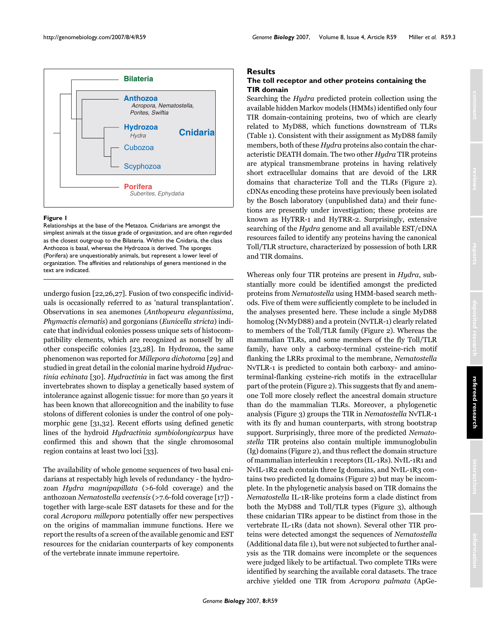<span id="page-2-0"></span>

# **Figure 1**

Relationships at the base of the Metazoa. Cnidarians are amongst the simplest animals at the tissue grade of organization, and are often regarded as the closest outgroup to the Bilateria. Within the Cnidaria, the class Anthozoa is basal, whereas the Hydrozoa is derived. The sponges (Porifera) are unquestionably animals, but represent a lower level of organization. The affinities and relationships of genera mentioned in the text are indicated.

undergo fusion [\[22,](#page-11-0)26,27]. Fusion of two conspecific individuals is occasionally referred to as 'natural transplantation'. Observations in sea anemones (*Anthopeura elegantissima*, *Phymactis clematis*) and gorgonians (*Eunicella stricta*) indicate that individual colonies possess unique sets of histocompatibility elements, which are recognized as nonself by all other conspecific colonies [23,28]. In Hydrozoa, the same phenomenon was reported for *Millepora dichotoma* [29] and studied in great detail in the colonial marine hydroid *Hydractinia echinata* [30]. *Hydractinia* in fact was among the first invertebrates shown to display a genetically based system of intolerance against allogenic tissue: for more than 50 years it has been known that allorecognition and the inability to fuse stolons of different colonies is under the control of one polymorphic gene [31,32]. Recent efforts using defined genetic lines of the hydroid *Hydractinia symbiolongicarpus* have confirmed this and shown that the single chromosomal region contains at least two loci [33].

The availability of whole genome sequences of two basal cnidarians at respectably high levels of redundancy - the hydrozoan *Hydra magnipapillata* (>6-fold coverage) and the anthozoan *Nematostella vectensis* (>7.6-fold coverage [17]) together with large-scale EST datasets for these and for the coral *Acropora millepora* potentially offer new perspectives on the origins of mammalian immune functions. Here we report the results of a screen of the available genomic and EST resources for the cnidarian counterparts of key components of the vertebrate innate immune repertoire.

# **Results**

# **The toll receptor and other proteins containing the TIR domain**

Searching the *Hydra* predicted protein collection using the available hidden Markov models (HMMs) identified only four TIR domain-containing proteins, two of which are clearly related to MyD88, which functions downstream of TLRs (Table 1). Consistent with their assignment as MyD88 family members, both of these *Hydra* proteins also contain the characteristic DEATH domain. The two other *Hydra* TIR proteins are atypical transmembrane proteins in having relatively short extracellular domains that are devoid of the LRR domains that characterize Toll and the TLRs (Figure 2). cDNAs encoding these proteins have previously been isolated by the Bosch laboratory (unpublished data) and their functions are presently under investigation; these proteins are known as HyTRR-1 and HyTRR-2. Surprisingly, extensive searching of the *Hydra* genome and all available EST/cDNA resources failed to identify any proteins having the canonical Toll/TLR structure, characterized by possession of both LRR and TIR domains.

Whereas only four TIR proteins are present in *Hydra*, substantially more could be identified amongst the predicted proteins from *Nematostella* using HMM-based search methods. Five of them were sufficiently complete to be included in the analyses presented here. These include a single MyD88 homolog (NvMyD88) and a protein (NvTLR-1) clearly related to members of the Toll/TLR family (Figure 2). Whereas the mammalian TLRs, and some members of the fly Toll/TLR family, have only a carboxy-terminal cysteine-rich motif flanking the LRRs proximal to the membrane, *Nematostella* NvTLR-1 is predicted to contain both carboxy- and aminoterminal-flanking cysteine-rich motifs in the extracellular part of the protein (Figure 2). This suggests that fly and anemone Toll more closely reflect the ancestral domain structure than do the mammalian TLRs. Moreover, a phylogenetic analysis (Figure 3) groups the TIR in *Nematostella* NvTLR-1 with its fly and human counterparts, with strong bootstrap support. Surprisingly, three more of the predicted *Nematostella* TIR proteins also contain multiple immunoglobulin (Ig) domains (Figure 2), and thus reflect the domain structure of mammalian interleukin 1 receptors (IL-1Rs). NvIL-1R1 and NvIL-1R2 each contain three Ig domains, and NvIL-1R3 contains two predicted Ig domains (Figure 2) but may be incomplete. In the phylogenetic analysis based on TIR domains the *Nematostella* IL-1R-like proteins form a clade distinct from both the MyD88 and Toll/TLR types (Figure 3), although these cnidarian TIRs appear to be distinct from those in the vertebrate IL-1Rs (data not shown). Several other TIR proteins were detected amongst the sequences of *Nematostella* (Additional data file 1), but were not subjected to further analysis as the TIR domains were incomplete or the sequences were judged likely to be artifactual. Two complete TIRs were identified by searching the available coral datasets. The trace archive yielded one TIR from *Acropora palmata* (ApGe-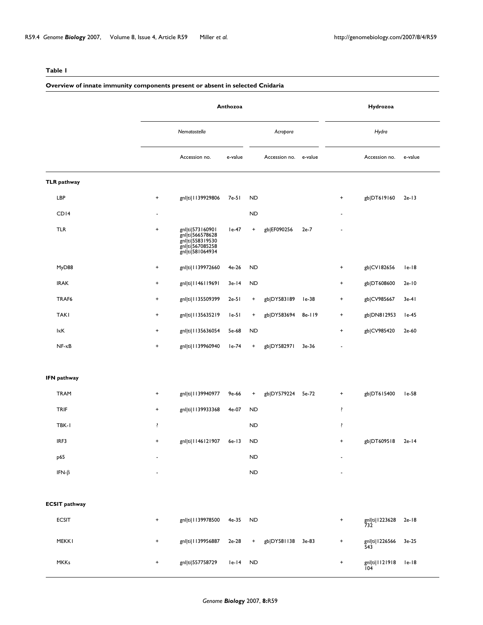# **Table 1**

# **Overview of innate immunity components present or absent in selected Cnidaria**

|                      | Anthozoa                         |                                                                                                  |         |                                  |                   | Hydrozoa |                                  |                       |         |
|----------------------|----------------------------------|--------------------------------------------------------------------------------------------------|---------|----------------------------------|-------------------|----------|----------------------------------|-----------------------|---------|
|                      | Nematostella                     |                                                                                                  |         | Acropora                         |                   |          | Hydra                            |                       |         |
|                      |                                  | Accession no.                                                                                    | e-value |                                  | Accession no.     | e-value  |                                  | Accession no.         | e-value |
| TLR pathway          |                                  |                                                                                                  |         |                                  |                   |          |                                  |                       |         |
| LBP                  | $\bf{+}$                         | gnl ti  I 139929806                                                                              | $7e-51$ | <b>ND</b>                        |                   |          | $\ddot{}$                        | gb DT619160           | $2e-13$ |
| CD14                 | ÷,                               |                                                                                                  |         | <b>ND</b>                        |                   |          | ÷,                               |                       |         |
| <b>TLR</b>           | $\ddot{}$                        | gnl ti 573160901<br>gnl ti 566578628<br>gnl ti 558319530<br>gnl ti 567085258<br>gnl ti 581064934 | le-47   | $\ddot{}$                        | gb EF090256       | $2e-7$   |                                  |                       |         |
| MyD88                | $\ddot{}$                        | gnl ti  I 139972660                                                                              | 4e-26   | <b>ND</b>                        |                   |          | $\ddot{}$                        | gb CV182656           | $le-18$ |
| <b>IRAK</b>          | $\bf{+}$                         | gnl ti    146   1969                                                                             | $3e-14$ | <b>ND</b>                        |                   |          | $\ddot{}$                        | gb DT608600           | $2e-10$ |
| TRAF <sub>6</sub>    | $\begin{array}{c} + \end{array}$ | gnl ti  I 135509399                                                                              | $2e-51$ | $\ddot{}$                        | gb DY583189       | $le-38$  | $\ddot{}$                        | gb CV985667           | $3e-41$ |
| <b>TAKI</b>          | $\begin{array}{c} + \end{array}$ | gnl ti  I 135635219                                                                              | $le-51$ | $\ddot{}$                        | gb DY583694       | 8e-119   | $\ddot{}$                        | gb DN812953           | le-45   |
| lκK                  | $\bf{+}$                         | gnl ti  I 135636054                                                                              | 5e-68   | <b>ND</b>                        |                   |          | $\begin{array}{c} + \end{array}$ | gb CV985420           | 2e-60   |
| $NF - \kappa B$      | $\bf{+}$                         | gnl ti  I 139960940                                                                              | le-74   | $\ddot{}$                        | gb DY582971       | 3e-36    | ä,                               |                       |         |
| <b>IFN</b> pathway   |                                  |                                                                                                  |         |                                  |                   |          |                                  |                       |         |
| <b>TRAM</b>          | $\bf +$                          | gnl ti  I 139940977                                                                              | 9e-66   | $\ddot{}$                        | gb DY579224       | 5e-72    | $\begin{array}{c} + \end{array}$ | gb DT615400           | le-58   |
| <b>TRIF</b>          | $\ddot{}$                        | gnl ti  I 139933368                                                                              | 4e-07   | <b>ND</b>                        |                   |          | ŗ                                |                       |         |
| TBK-I                | ŗ                                |                                                                                                  |         | <b>ND</b>                        |                   |          | ŗ                                |                       |         |
| IRF3                 | $\bf{+}$                         | gnl ti  I 146121907                                                                              | $6e-13$ | <b>ND</b>                        |                   |          | $\begin{array}{c} + \end{array}$ | gb DT609518           | $2e-14$ |
| p65                  | ä,                               |                                                                                                  |         | ${\sf ND}$                       |                   |          | $\blacksquare$                   |                       |         |
| IFN- $\beta$         | ä,                               |                                                                                                  |         | ${\sf ND}$                       |                   |          | ä,                               |                       |         |
| <b>ECSIT</b> pathway |                                  |                                                                                                  |         |                                  |                   |          |                                  |                       |         |
| <b>ECSIT</b>         | $\begin{array}{c} + \end{array}$ | gnl ti  I 139978500                                                                              | 4e-35   | ND                               |                   |          | $^{+}$                           | gnl ti 1223628<br>732 | 2e-18   |
| <b>MEKKI</b>         | $\ddot{}$                        | gnl ti  I I 39956887                                                                             | 2e-28   | $\begin{array}{c} + \end{array}$ | gb DY581138 3e-83 |          | $\ddot{}$                        | gnl ti 1226566<br>543 | 3e-25   |
| <b>MKKs</b>          | $\begin{array}{c} + \end{array}$ | gnl ti 557758729                                                                                 | $Ie-I4$ | <b>ND</b>                        |                   |          | $\ddot{}$                        | gnl ti  121918<br>104 | $le-18$ |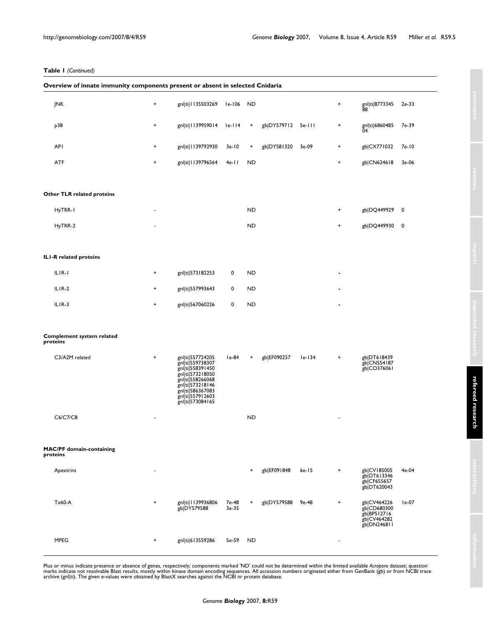# **Table 1** *(Continued)*

| Overview of innate immunity components present or absent in selected Cnidaria |                                 |                                  |                                                                                                                                                                                  |                |           |                    |          |                          |                                                                         |                         |  |
|-------------------------------------------------------------------------------|---------------------------------|----------------------------------|----------------------------------------------------------------------------------------------------------------------------------------------------------------------------------|----------------|-----------|--------------------|----------|--------------------------|-------------------------------------------------------------------------|-------------------------|--|
|                                                                               | <b>JNK</b>                      | $\ddot{}$                        | gnl ti 1135503269                                                                                                                                                                | le-106         | <b>ND</b> |                    |          | $\ddot{}$                | gnl ti 8773345<br>88                                                    | 2e-33                   |  |
|                                                                               | p38                             | $\ddot{}$                        | gnl ti      399590   4                                                                                                                                                           | $le-114$       | $\ddot{}$ | gb DY579712 5e-111 |          | $\ddot{}$                | gnl ti 6860485<br>Ō4                                                    | 7e-39                   |  |
|                                                                               | <b>API</b>                      | $\ddot{}$                        | gnl ti  I 139792930                                                                                                                                                              | $3e-10$        | $\ddot{}$ | gb DY581320        | 3e-09    | $\ddot{}$                | gb CX771032                                                             | $7e-10$                 |  |
|                                                                               | ATF                             | $\ddot{}$                        | gnl ti  I 139796564                                                                                                                                                              | $4e-11$        | <b>ND</b> |                    |          | $\ddot{}$                | gb CN624618                                                             | 3e-06                   |  |
|                                                                               | Other TLR related proteins      |                                  |                                                                                                                                                                                  |                |           |                    |          |                          |                                                                         |                         |  |
|                                                                               | HyTRR-I                         |                                  |                                                                                                                                                                                  |                | <b>ND</b> |                    |          | $\ddot{}$                | gb DQ449929                                                             | $\mathbf 0$             |  |
|                                                                               | HyTRR-2                         |                                  |                                                                                                                                                                                  |                | <b>ND</b> |                    |          | $\ddot{}$                | gb DQ449930                                                             | $\overline{\mathbf{0}}$ |  |
|                                                                               | ILI-R related proteins          |                                  |                                                                                                                                                                                  |                |           |                    |          |                          |                                                                         |                         |  |
|                                                                               | $ILIR-I$                        | $\ddot{}$                        | gnl ti 573182253                                                                                                                                                                 | 0              | <b>ND</b> |                    |          | ٠                        |                                                                         |                         |  |
|                                                                               | $ILIR-2$                        | $\begin{array}{c} + \end{array}$ | gnl ti 557993643                                                                                                                                                                 | 0              | <b>ND</b> |                    |          |                          |                                                                         |                         |  |
|                                                                               | $ILIR-3$                        | $\ddot{}$                        | gnl ti 567060226                                                                                                                                                                 | 0              | <b>ND</b> |                    |          |                          |                                                                         |                         |  |
| proteins                                                                      | Complement system related       |                                  |                                                                                                                                                                                  |                |           |                    |          |                          |                                                                         |                         |  |
|                                                                               | C3/A2M related                  | $\ddot{}$                        | gnl ti 557724205<br>gnl ti 559738307<br>gnl ti 558391450<br>gnl ti 573218050<br>gnl ti 558266068<br>gnl ti 573218146<br>gnl ti 586367083<br>gnl ti 557912603<br>gnl ti 573084165 | le-84          | $\ddot{}$ | gb EF090257        | $le-134$ | $\ddot{}$                | gb DT618439<br>gb CN554187<br>gb CO376061                               |                         |  |
|                                                                               | C6/C7/C8                        |                                  |                                                                                                                                                                                  |                | <b>ND</b> |                    |          |                          |                                                                         |                         |  |
| proteins                                                                      | <b>MAC/PF</b> domain-containing |                                  |                                                                                                                                                                                  |                |           |                    |          |                          |                                                                         |                         |  |
|                                                                               | Apextrins                       | $\blacksquare$                   |                                                                                                                                                                                  |                | $\ddot{}$ | gb EF091848        | $6e-15$  | $\ddot{}$                | gb CV185005<br>gb DT613346<br>gb CF655657<br>gb DT620043                | 4e-04                   |  |
|                                                                               | Tx60-A                          | $\ddot{}$                        | gnl ti  I 139936806<br>gb DY579588                                                                                                                                               | 7e-48<br>3e-35 | $\ddot{}$ | gb DY579588        | 9e-48    | $\ddot{}$                | gb CV464226<br>gb CD680300<br>gb BP512716<br>gb CV464282<br>gb DN246811 | $le-07$                 |  |
|                                                                               | <b>MPEG</b>                     | $\ddot{}$                        | gnl ti 613559286                                                                                                                                                                 | 5e-59          | <b>ND</b> |                    |          | $\overline{\phantom{a}}$ |                                                                         |                         |  |

Plus or minus indicate presence or absence of genes, respectively; components marked 'ND' could not be determined within the limited available Acropora dataset; question<br>marks indicate not resolvable Blast results, mostly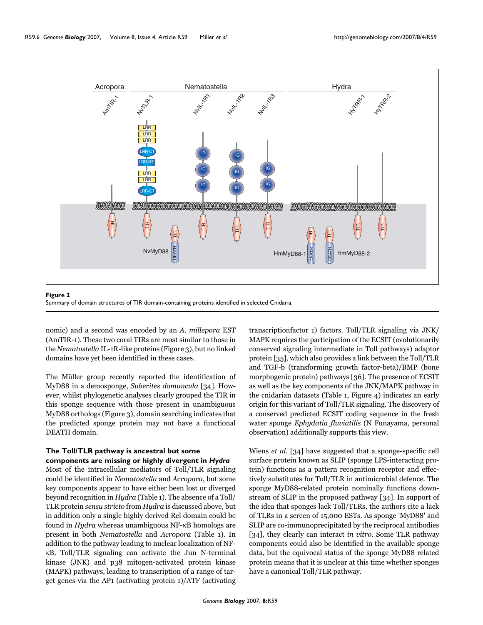

Summary of domain structures of TIR domain-containing proteins identified in selected Cnidaria.

nomic) and a second was encoded by an *A. millepora* EST (AmTIR-1). These two coral TIRs are most similar to those in the *Nematostella* IL-1R-like proteins (Figure 3), but no linked domains have yet been identified in these cases.

The Müller group recently reported the identification of MyD88 in a demosponge, *Suberites domuncula* [34]. However, whilst phylogenetic analyses clearly grouped the TIR in this sponge sequence with those present in unambiguous MyD88 orthologs (Figure 3), domain searching indicates that the predicted sponge protein may not have a functional DEATH domain.

# **The Toll/TLR pathway is ancestral but some components are missing or highly divergent in** *Hydra*

Most of the intracellular mediators of Toll/TLR signaling could be identified in *Nematostella* and *Acropora*, but some key components appear to have either been lost or diverged beyond recognition in *Hydra* (Table 1). The absence of a Toll/ TLR protein *sensu stricto* from *Hydra* is discussed above, but in addition only a single highly derived Rel domain could be found in *Hydra* whereas unambiguous NF-κB homologs are present in both *Nematostella* and *Acropora* (Table 1). In addition to the pathway leading to nuclear localization of NFκB, Toll/TLR signaling can activate the Jun N-terminal kinase (JNK) and p38 mitogen-activated protein kinase (MAPK) pathways, leading to transcription of a range of target genes via the AP1 (activating protein 1)/ATF (activating

transcriptionfactor 1) factors. Toll/TLR signaling via JNK/ MAPK requires the participation of the ECSIT (evolutionarily conserved signaling intermediate in Toll pathways) adaptor protein [35], which also provides a link between the Toll/TLR and TGF-b (transforming growth factor-beta)/BMP (bone morphogenic protein) pathways [36]. The presence of ECSIT as well as the key components of the JNK/MAPK pathway in the cnidarian datasets (Table 1, Figure 4) indicates an early origin for this variant of Toll/TLR signaling. The discovery of a conserved predicted ECSIT coding sequence in the fresh water sponge *Ephydatia fluviatilis* (N Funayama, personal observation) additionally supports this view.

Wiens *et al*. [34] have suggested that a sponge-specific cell surface protein known as SLIP (sponge LPS-interacting protein) functions as a pattern recognition receptor and effectively substitutes for Toll/TLR in antimicrobial defence. The sponge MyD88-related protein nominally functions downstream of SLIP in the proposed pathway [34]. In support of the idea that sponges lack Toll/TLRs, the authors cite a lack of TLRs in a screen of 15,000 ESTs. As sponge 'MyD88' and SLIP are co-immunoprecipitated by the reciprocal antibodies [34], they clearly can interact *in vitro*. Some TLR pathway components could also be identified in the available sponge data, but the equivocal status of the sponge MyD88 related protein means that it is unclear at this time whether sponges have a canonical Toll/TLR pathway.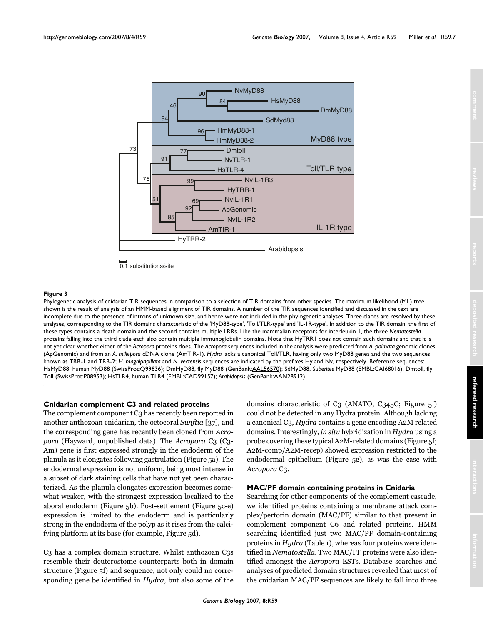

#### Phylogenetic analysis of cn **Figure 3** idarian TIR sequences in comparison to a selection of TIR domains from other species

Phylogenetic analysis of cnidarian TIR sequences in comparison to a selection of TIR domains from other species. The maximum likelihood (ML) tree shown is the result of analysis of an HMM-based alignment of TIR domains. A number of the TIR sequences identified and discussed in the text are incomplete due to the presence of introns of unknown size, and hence were not included in the phylogenetic analyses. Three clades are resolved by these analyses, corresponding to the TIR domains characteristic of the 'MyD88-type', 'Toll/TLR-type' and 'IL-1R-type'. In addition to the TIR domain, the first of these types contains a death domain and the second contains multiple LRRs. Like the mammalian receptors for interleukin 1, the three *Nematostella*  proteins falling into the third clade each also contain multiple immunoglobulin domains. Note that HyTRR1 does not contain such domains and that it is not yet clear whether either of the *Acropora* proteins does. The *Acropora* sequences included in the analysis were predicted from *A. palmata* genomic clones (ApGenomic) and from an *A. millepora* cDNA clone (AmTIR-1). *Hydra* lacks a canonical Toll/TLR, having only two MyD88 genes and the two sequences known as TRR-1 and TRR-2; *H. magnipapillata* and *N. vectensis* sequences are indicated by the prefixes Hy and Nv, respectively. Reference sequences: HsMyD88, human MyD88 (SwissProt:Q99836); DmMyD88, fly MyD88 (GenBank:[AAL56570](http://www.ncbi.nih.gov/entrez/query.fcgi?db=Nucleotide&cmd=search&term=AAL56570)); SdMyD88, *Suberites* MyD88 (EMBL:CAI68016); Dmtoll, fly Toll (SwissProt:P08953); HsTLR4, human TLR4 (EMBL:CAD99157); *Arabidopsis* (GenBank[:AAN28912](http://www.ncbi.nih.gov/entrez/query.fcgi?db=Nucleotide&cmd=search&term=AAN28912)).

# **Cnidarian complement C3 and related proteins**

The complement component C3 has recently been reported in another anthozoan cnidarian, the octocoral *Swiftia* [37], and the corresponding gene has recently been cloned from *Acropora* (Hayward, unpublished data). The *Acropora* C3 (C3- Am) gene is first expressed strongly in the endoderm of the planula as it elongates following gastrulation (Figure 5a). The endodermal expression is not uniform, being most intense in a subset of dark staining cells that have not yet been characterized. As the planula elongates expression becomes somewhat weaker, with the strongest expression localized to the aboral endoderm (Figure 5b). Post-settlement (Figure 5c-e) expression is limited to the endoderm and is particularly strong in the endoderm of the polyp as it rises from the calcifying platform at its base (for example, Figure 5d).

C3 has a complex domain structure. Whilst anthozoan C3s resemble their deuterostome counterparts both in domain structure (Figure 5f) and sequence, not only could no corresponding gene be identified in *Hydra*, but also some of the domains characteristic of C3 (ANATO, C345C; Figure 5f) could not be detected in any Hydra protein. Although lacking a canonical C3, *Hydra* contains a gene encoding A2M related domains. Interestingly, *in situ* hybridization in *Hydra* using a probe covering these typical A2M-related domains (Figure 5f; A2M-comp/A2M-recep) showed expression restricted to the endodermal epithelium (Figure 5g), as was the case with *Acropora* C3.

# **MAC/PF domain containing proteins in Cnidaria**

Searching for other components of the complement cascade, we identified proteins containing a membrane attack complex/perforin domain (MAC/PF) similar to that present in complement component C6 and related proteins. HMM searching identified just two MAC/PF domain-containing proteins in *Hydra* (Table 1), whereas four proteins were identified in *Nematostella*. Two MAC/PF proteins were also identified amongst the *Acropora* ESTs. Database searches and analyses of predicted domain structures revealed that most of the cnidarian MAC/PF sequences are likely to fall into three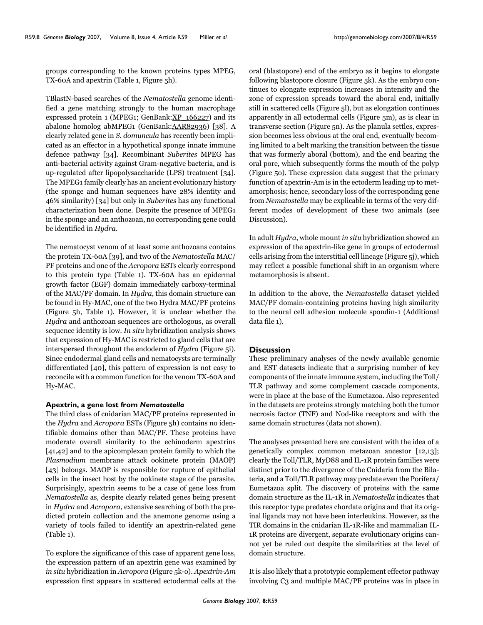groups corresponding to the known proteins types MPEG, TX-60A and apextrin (Table 1, Figure 5h).

TBlastN-based searches of the *Nematostella* genome identified a gene matching strongly to the human macrophage expressed protein 1 (MPEG1; GenBank[:XP\\_166227\)](http://www.ncbi.nih.gov/entrez/query.fcgi?db=Nucleotide&cmd=search&term=XP_166227) and its abalone homolog abMPEG1 (GenBank[:AAR82936](http://www.ncbi.nih.gov/entrez/query.fcgi?db=Nucleotide&cmd=search&term=AAR82936)) [38]. A clearly related gene in *S. domuncula* has recently been implicated as an effector in a hypothetical sponge innate immune defence pathway [34]. Recombinant *Suberites* MPEG has anti-bacterial activity against Gram-negative bacteria, and is up-regulated after lipopolysaccharide (LPS) treatment [34]. The MPEG1 family clearly has an ancient evolutionary history (the sponge and human sequences have 28% identity and 46% similarity) [34] but only in *Suberites* has any functional characterization been done. Despite the presence of MPEG1 in the sponge and an anthozoan, no corresponding gene could be identified in *Hydra*.

The nematocyst venom of at least some anthozoans contains the protein TX-60A [39], and two of the *Nematostella* MAC/ PF proteins and one of the *Acropora* ESTs clearly correspond to this protein type (Table 1). TX-60A has an epidermal growth factor (EGF) domain immediately carboxy-terminal of the MAC/PF domain. In *Hydra*, this domain structure can be found in Hy-MAC, one of the two Hydra MAC/PF proteins (Figure 5h, Table 1). However, it is unclear whether the *Hydra* and anthozoan sequences are orthologous, as overall sequence identity is low. *In situ* hybridization analysis shows that expression of Hy-MAC is restricted to gland cells that are interspersed throughout the endoderm of *Hydra* (Figure 5i). Since endodermal gland cells and nematocysts are terminally differentiated [40], this pattern of expression is not easy to reconcile with a common function for the venom TX-60A and Hy-MAC.

#### **Apextrin, a gene lost from** *Nematostella*

The third class of cnidarian MAC/PF proteins represented in the *Hydra* and *Acropora* ESTs (Figure 5h) contains no identifiable domains other than MAC/PF. These proteins have moderate overall similarity to the echinoderm apextrins [41,42] and to the apicomplexan protein family to which the *Plasmodium* membrane attack ookinete protein (MAOP) [43] belongs. MAOP is responsible for rupture of epithelial cells in the insect host by the ookinete stage of the parasite. Surprisingly, apextrin seems to be a case of gene loss from *Nematostella* as, despite clearly related genes being present in *Hydra* and *Acropora*, extensive searching of both the predicted protein collection and the anemone genome using a variety of tools failed to identify an apextrin-related gene (Table 1).

To explore the significance of this case of apparent gene loss, the expression pattern of an apextrin gene was examined by *in situ* hybridization in *Acropora* (Figure 5k-o). *Apextrin-Am* expression first appears in scattered ectodermal cells at the

oral (blastopore) end of the embryo as it begins to elongate following blastopore closure (Figure 5k). As the embryo continues to elongate expression increases in intensity and the zone of expression spreads toward the aboral end, initially still in scattered cells (Figure 5l), but as elongation continues apparently in all ectodermal cells (Figure 5m), as is clear in transverse section (Figure 5n). As the planula settles, expression becomes less obvious at the oral end, eventually becoming limited to a belt marking the transition between the tissue that was formerly aboral (bottom), and the end bearing the oral pore, which subsequently forms the mouth of the polyp (Figure 5o). These expression data suggest that the primary function of apextrin-Am is in the ectoderm leading up to metamorphosis; hence, secondary loss of the corresponding gene from *Nematostella* may be explicable in terms of the very different modes of development of these two animals (see Discussion).

In adult *Hydra*, whole mount *in situ* hybridization showed an expression of the apextrin-like gene in groups of ectodermal cells arising from the interstitial cell lineage (Figure 5j), which may reflect a possible functional shift in an organism where metamorphosis is absent.

In addition to the above, the *Nematostella* dataset yielded MAC/PF domain-containing proteins having high similarity to the neural cell adhesion molecule spondin-1 (Additional data file 1).

#### **Discussion**

These preliminary analyses of the newly available genomic and EST datasets indicate that a surprising number of key components of the innate immune system, including the Toll/ TLR pathway and some complement cascade components, were in place at the base of the Eumetazoa. Also represented in the datasets are proteins strongly matching both the tumor necrosis factor (TNF) and Nod-like receptors and with the same domain structures (data not shown).

The analyses presented here are consistent with the idea of a genetically complex common metazoan ancestor [12,13]; clearly the Toll/TLR, MyD88 and IL-1R protein families were distinct prior to the divergence of the Cnidaria from the Bilateria, and a Toll/TLR pathway may predate even the Porifera/ Eumetazoa split. The discovery of proteins with the same domain structure as the IL-1R in *Nematostella* indicates that this receptor type predates chordate origins and that its original ligands may not have been interleukins. However, as the TIR domains in the cnidarian IL-1R-like and mammalian IL-1R proteins are divergent, separate evolutionary origins cannot yet be ruled out despite the similarities at the level of domain structure.

It is also likely that a prototypic complement effector pathway involving C3 and multiple MAC/PF proteins was in place in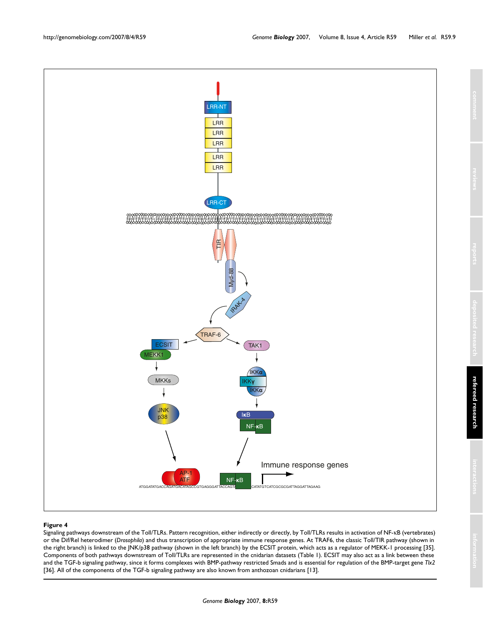

#### Figure 4

Signaling pathways downstream of the Toll/TLRs. Pattern recognition, either indirectly or directly, by Toll/TLRs results in activation of NF-κB (vertebrates) or the Dif/Rel heterodimer (*Drosophila*) and thus transcription of appropriate immune response genes. At TRAF6, the classic Toll/TIR pathway (shown in the right branch) is linked to the JNK/p38 pathway (shown in the left branch) by the ECSIT protein, which acts as a regulator of MEKK-1 processing [35]. Components of both pathways downstream of Toll/TLRs are represented in the cnidarian datasets (Table 1). ECSIT may also act as a link between these and the TGF-b signaling pathway, since it forms complexes with BMP-pathway restricted Smads and is essential for regulation of the BMP-target gene *Tlx2*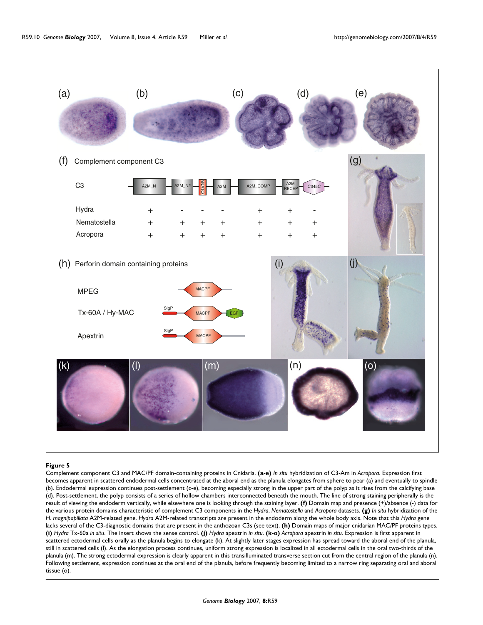

# Figure 5

Complement component C3 and MAC/PF domain-containing proteins in Cnidaria. **(a-e)** *In situ* hybridization of C3-Am in *Acropora*. Expression first becomes apparent in scattered endodermal cells concentrated at the aboral end as the planula elongates from sphere to pear (a) and eventually to spindle (b). Endodermal expression continues post-settlement (c-e), becoming especially strong in the upper part of the polyp as it rises from the calcifying base (d). Post-settlement, the polyp consists of a series of hollow chambers interconnected beneath the mouth. The line of strong staining peripherally is the result of viewing the endoderm vertically, while elsewhere one is looking through the staining layer. **(f)** Domain map and presence (+)/absence (-) data for the various protein domains characteristic of complement C3 components in the *Hydra*, *Nematostella* and *Acropora* datasets. **(g)** *In situ* hybridization of the *H. magnipapillata* A2M-related gene. *Hydra* A2M-related transcripts are present in the endoderm along the whole body axis. Note that this *Hydra* gene lacks several of the C3-diagnostic domains that are present in the anthozoan C3s (see text). **(h)** Domain maps of major cnidarian MAC/PF proteins types. **(i)** *Hydra* Tx-60a *in situ*. The insert shows the sense control. **(j)** *Hydra* apextrin *in situ*. **(k-o)** *Acropora* apextrin *in situ*. Expression is first apparent in scattered ectodermal cells orally as the planula begins to elongate (k). At slightly later stages expression has spread toward the aboral end of the planula, still in scattered cells (l). As the elongation process continues, uniform strong expression is localized in all ectodermal cells in the oral two-thirds of the planula (m). The strong ectodermal expression is clearly apparent in this transilluminated transverse section cut from the central region of the planula (n). Following settlement, expression continues at the oral end of the planula, before frequently becoming limited to a narrow ring separating oral and aboral tissue (o).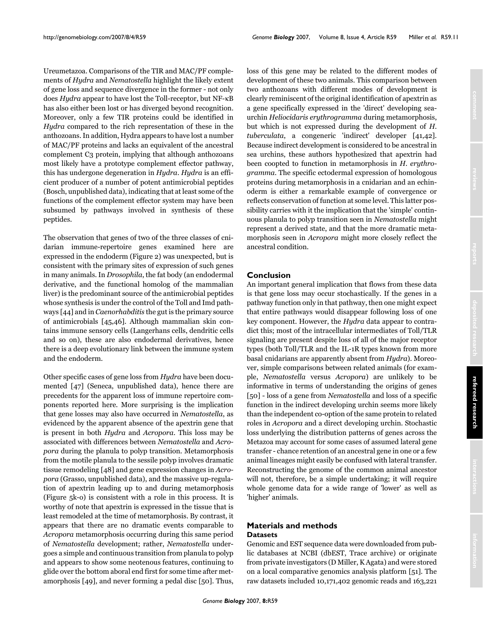Ureumetazoa. Comparisons of the TIR and MAC/PF complements of *Hydra* and *Nematostella* highlight the likely extent of gene loss and sequence divergence in the former - not only does *Hydra* appear to have lost the Toll-receptor, but NF-κB has also either been lost or has diverged beyond recognition. Moreover, only a few TIR proteins could be identified in *Hydra* compared to the rich representation of these in the anthozoans. In addition, Hydra appears to have lost a number of MAC/PF proteins and lacks an equivalent of the ancestral complement C3 protein, implying that although anthozoans most likely have a prototype complement effector pathway, this has undergone degeneration in *Hydra*. *Hydra* is an efficient producer of a number of potent antimicrobial peptides (Bosch, unpublished data), indicating that at least some of the functions of the complement effector system may have been subsumed by pathways involved in synthesis of these peptides.

The observation that genes of two of the three classes of cnidarian immune-repertoire genes examined here are expressed in the endoderm (Figure 2) was unexpected, but is consistent with the primary sites of expression of such genes in many animals. In *Drosophila*, the fat body (an endodermal derivative, and the functional homolog of the mammalian liver) is the predominant source of the antimicrobial peptides whose synthesis is under the control of the Toll and Imd pathways [44] and in *Caenorhabditis* the gut is the primary source of antimicrobials [45,46]. Although mammalian skin contains immune sensory cells (Langerhans cells, dendritic cells and so on), these are also endodermal derivatives, hence there is a deep evolutionary link between the immune system and the endoderm.

Other specific cases of gene loss from *Hydra* have been documented [47] (Seneca, unpublished data), hence there are precedents for the apparent loss of immune repertoire components reported here. More surprising is the implication that gene losses may also have occurred in *Nematostella*, as evidenced by the apparent absence of the apextrin gene that is present in both *Hydra* and *Acropora*. This loss may be associated with differences between *Nematostella* and *Acropora* during the planula to polyp transition. Metamorphosis from the motile planula to the sessile polyp involves dramatic tissue remodeling [48] and gene expression changes in *Acropora* (Grasso, unpublished data), and the massive up-regulation of apextrin leading up to and during metamorphosis (Figure 5k-o) is consistent with a role in this process. It is worthy of note that apextrin is expressed in the tissue that is least remodeled at the time of metamorphosis. By contrast, it appears that there are no dramatic events comparable to *Acropora* metamorphosis occurring during this same period of *Nematostella* development; rather, *Nematostella* undergoes a simple and continuous transition from planula to polyp and appears to show some neotenous features, continuing to glide over the bottom aboral end first for some time after metamorphosis [49], and never forming a pedal disc [50]. Thus,

loss of this gene may be related to the different modes of development of these two animals. This comparison between two anthozoans with different modes of development is clearly reminiscent of the original identification of apextrin as a gene specifically expressed in the 'direct' developing seaurchin *Heliocidaris erythrogramma* during metamorphosis, but which is not expressed during the development of *H. tuberculata*, a congeneric 'indirect' developer [41,42]. Because indirect development is considered to be ancestral in sea urchins, these authors hypothesized that apextrin had been coopted to function in metamorphosis in *H. erythrogramma*. The specific ectodermal expression of homologous proteins during metamorphosis in a cnidarian and an echinoderm is either a remarkable example of convergence or reflects conservation of function at some level. This latter possibility carries with it the implication that the 'simple' continuous planula to polyp transition seen in *Nematostella* might represent a derived state, and that the more dramatic metamorphosis seen in *Acropora* might more closely reflect the ancestral condition.

# **Conclusion**

An important general implication that flows from these data is that gene loss may occur stochastically. If the genes in a pathway function only in that pathway, then one might expect that entire pathways would disappear following loss of one key component. However, the *Hydra* data appear to contradict this; most of the intracellular intermediates of Toll/TLR signaling are present despite loss of all of the major receptor types (both Toll/TLR and the IL-1R types known from more basal cnidarians are apparently absent from *Hydra*). Moreover, simple comparisons between related animals (for example, *Nematostella* versus *Acropora*) are unlikely to be informative in terms of understanding the origins of genes [50] - loss of a gene from *Nematostella* and loss of a specific function in the indirect developing urchin seems more likely than the independent co-option of the same protein to related roles in *Acropora* and a direct developing urchin. Stochastic loss underlying the distribution patterns of genes across the Metazoa may account for some cases of assumed lateral gene transfer - chance retention of an ancestral gene in one or a few animal lineages might easily be confused with lateral transfer. Reconstructing the genome of the common animal ancestor will not, therefore, be a simple undertaking; it will require whole genome data for a wide range of 'lower' as well as 'higher' animals.

# **Materials and methods Datasets**

Genomic and EST sequence data were downloaded from public databases at NCBI (dbEST, Trace archive) or originate from private investigators (D Miller, K Agata) and were stored on a local comparative genomics analysis platform [51]. The raw datasets included 10,171,402 genomic reads and 163,221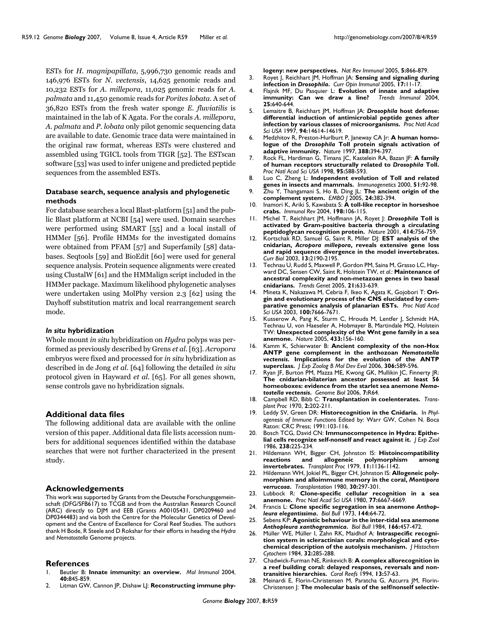ESTs for *H. magnipapillata*, 5,996,730 genomic reads and 146,976 ESTs for *N. vectensis*, 14,625 genomic reads and 10,232 ESTs for *A. millepora*, 11,025 genomic reads for *A. palmata* and 11,450 genomic reads for *Porites lobata*. A set of 36,820 ESTs from the fresh water sponge *E. fluviatilis* is maintained in the lab of K Agata. For the corals *A. millepora*, *A. palmata* and *P. lobata* only pilot genomic sequencing data are available to date. Genomic trace data were maintained in the original raw format, whereas ESTs were clustered and assembled using TGICL tools from TIGR [52]. The ESTscan software [53] was used to infer unigene and predicted peptide sequences from the assembled ESTs.

# **Database search, sequence analysis and phylogenetic methods**

For database searches a local Blast-platform [51] and the public Blast platform at NCBI [54] were used. Domain searches were performed using SMART [55] and a local install of HMMer [56]. Profile HMMs for the investigated domains were obtained from PFAM [57] and Superfamily [58] databases. Seqtools [59] and BioEdit [60] were used for general sequence analysis. Protein sequence alignments were created using ClustalW [61] and the HMMalign script included in the HMMer package. Maximum likelihood phylogenetic analyses were undertaken using MolPhy version 2.3 [62] using the Dayhoff substitution matrix and local rearrangement search mode.

#### *In situ* **hybridization**

Whole mount *in situ* hybridization on *Hydra* polyps was performed as previously described by Grens *et al*. [63]. *Acropora* embryos were fixed and processed for *in situ* hybridization as described in de Jong *et al*. [64] following the detailed *in situ* protocol given in Hayward *et al*. [65]. For all genes shown, sense controls gave no hybridization signals.

#### **Additional data files**

The following additional data are available with the online version of this paper. Additional data file lists accession numbers for additional sequences identified within the database searches that were not further characterized in the present study.

### **Acknowledgements**

This work was supported by Grants from the Deutsche Forschungsgemeinschaft (DFG/SFB617) to TCGB and from the Australian Research Council (ARC) directly to DJM and EEB (Grants A00105431, DP0209460 and DP0344483) and via both the Centre for the Molecular Genetics of Development and the Centre of Excellence for Coral Reef Studies. The authors thank H Bode, R Steele and D Rokshar for their efforts in heading the *Hydra* and *Nematostella* Genome projects.

## **References**

- 1. Beutler B: **[Innate immunity: an overview.](http://www.ncbi.nlm.nih.gov/entrez/query.fcgi?cmd=Retrieve&db=PubMed&dopt=Abstract&list_uids=14698223)** *Mol Immunol* 2004, **40:**845-859.
- 2. Litman GW, Cannon JP, Dishaw LJ: [Reconstructing immune phy-](http://www.ncbi.nlm.nih.gov/entrez/query.fcgi?cmd=Retrieve&db=PubMed&dopt=Abstract&list_uids=16261174)

**[logeny: new perspectives.](http://www.ncbi.nlm.nih.gov/entrez/query.fcgi?cmd=Retrieve&db=PubMed&dopt=Abstract&list_uids=16261174)** *Nat Rev Immunol* 2005, **5:**866-879.

- 3. Royet J, Reichhart JM, Hoffman JA: **Sensing and signaling during infection in** *Drosophila***[.](http://www.ncbi.nlm.nih.gov/entrez/query.fcgi?cmd=Retrieve&db=PubMed&dopt=Abstract&list_uids=15653304)** *Curr Opin Immunol* 2005, **17:**11-17.
- 4. Flajnik MF, Du Pasquier L: **[Evolution of innate and adaptive](http://www.ncbi.nlm.nih.gov/entrez/query.fcgi?cmd=Retrieve&db=PubMed&dopt=Abstract&list_uids=15530832) [immunity: Can we draw a line?](http://www.ncbi.nlm.nih.gov/entrez/query.fcgi?cmd=Retrieve&db=PubMed&dopt=Abstract&list_uids=15530832)** *Trends Immunol* 2004, **25:**640-644.
- 5. Lemaitre B, Reichhart JM, Hoffman JA: *Drosophila* **[host defense:](http://www.ncbi.nlm.nih.gov/entrez/query.fcgi?cmd=Retrieve&db=PubMed&dopt=Abstract&list_uids=9405661) [differential induction of antimicrobial peptide genes after](http://www.ncbi.nlm.nih.gov/entrez/query.fcgi?cmd=Retrieve&db=PubMed&dopt=Abstract&list_uids=9405661) [infection by various classes of microorganisms.](http://www.ncbi.nlm.nih.gov/entrez/query.fcgi?cmd=Retrieve&db=PubMed&dopt=Abstract&list_uids=9405661)** *Proc Natl Acad Sci USA* 1997, **94:**14614-14619.
- 6. Medzhitov R, Preston-Hurlburt P, Janeway CA Jr: **A human homologue of the** *Drosophila* **[Toll protein signals activation of](http://www.ncbi.nlm.nih.gov/entrez/query.fcgi?cmd=Retrieve&db=PubMed&dopt=Abstract&list_uids=9237759) [adaptive immunity.](http://www.ncbi.nlm.nih.gov/entrez/query.fcgi?cmd=Retrieve&db=PubMed&dopt=Abstract&list_uids=9237759)** *Nature* 1997, **388:**394-397.
- 7. Rock FL, Hardiman G, Timans JC, Kastelein RA, Bazan JF: **A family of human receptors structurally related to** *Drosophila* **[Toll.](http://www.ncbi.nlm.nih.gov/entrez/query.fcgi?cmd=Retrieve&db=PubMed&dopt=Abstract&list_uids=9435236)** *Proc Natl Acad Sci USA* 1998, **95:**588-593.
- 8. Luo C, Zheng L: **[Independent evolution of Toll and related](http://www.ncbi.nlm.nih.gov/entrez/query.fcgi?cmd=Retrieve&db=PubMed&dopt=Abstract&list_uids=10663571) [genes in insects and mammals.](http://www.ncbi.nlm.nih.gov/entrez/query.fcgi?cmd=Retrieve&db=PubMed&dopt=Abstract&list_uids=10663571)** *Immunogenetics* 2000, **51:**92-98.
- 9. Zhu Y, Thangamani S, Ho B, Ding JL: **[The ancient origin of the](http://www.ncbi.nlm.nih.gov/entrez/query.fcgi?cmd=Retrieve&db=PubMed&dopt=Abstract&list_uids=15616573) [complement system.](http://www.ncbi.nlm.nih.gov/entrez/query.fcgi?cmd=Retrieve&db=PubMed&dopt=Abstract&list_uids=15616573)** *EMBO J* 2005, **24:**382-394.
- 10. Inamori K, Ariki S, Kawabata S: **[A toll-like receptor in horseshoe](http://www.ncbi.nlm.nih.gov/entrez/query.fcgi?cmd=Retrieve&db=PubMed&dopt=Abstract&list_uids=15199958) [crabs.](http://www.ncbi.nlm.nih.gov/entrez/query.fcgi?cmd=Retrieve&db=PubMed&dopt=Abstract&list_uids=15199958)** *Immunol Rev* 2004, **198:**106-115.
- 11. Michel T, Reichhart JM, Hoffmann JA, Royet J: *Drosophila* **[Toll is](http://www.ncbi.nlm.nih.gov/entrez/query.fcgi?cmd=Retrieve&db=PubMed&dopt=Abstract&list_uids=11742401) [activated by Gram-positive bacteria through a circulating](http://www.ncbi.nlm.nih.gov/entrez/query.fcgi?cmd=Retrieve&db=PubMed&dopt=Abstract&list_uids=11742401) [peptidoglycan recognition protein.](http://www.ncbi.nlm.nih.gov/entrez/query.fcgi?cmd=Retrieve&db=PubMed&dopt=Abstract&list_uids=11742401)** *Nature* 2001, **414:**756-759.
- 12. Kortschak RD, Samuel G, Saint R, Miller DJ: **EST analysis of the cnidarian,** *Acropora millepora***[, reveals extensive gene loss](http://www.ncbi.nlm.nih.gov/entrez/query.fcgi?cmd=Retrieve&db=PubMed&dopt=Abstract&list_uids=14680636) [and rapid sequence divergence in the model invertebrates.](http://www.ncbi.nlm.nih.gov/entrez/query.fcgi?cmd=Retrieve&db=PubMed&dopt=Abstract&list_uids=14680636)** *Curr Biol* 2003, **13:**2190-2195.
- 13. Technau U, Rudd S, Maxwell P, Gordon PM, Saina M, Grasso LC, Hayward DC, Sensen CW, Saint R, Holstein TW, *et al.*: **[Maintenance of](http://www.ncbi.nlm.nih.gov/entrez/query.fcgi?cmd=Retrieve&db=PubMed&dopt=Abstract&list_uids=16226338) [ancestral complexity and non-metazoan genes in two basal](http://www.ncbi.nlm.nih.gov/entrez/query.fcgi?cmd=Retrieve&db=PubMed&dopt=Abstract&list_uids=16226338) [cnidarians.](http://www.ncbi.nlm.nih.gov/entrez/query.fcgi?cmd=Retrieve&db=PubMed&dopt=Abstract&list_uids=16226338)** *Trends Genet* 2005, **21:**633-639.
- 14. Mineta K, Nakazawa M, Cebria F, Ikeo K, Agata K, Gojobori T: **[Ori](http://www.ncbi.nlm.nih.gov/entrez/query.fcgi?cmd=Retrieve&db=PubMed&dopt=Abstract&list_uids=12802012)[gin and evolutionary process of the CNS elucidated by com](http://www.ncbi.nlm.nih.gov/entrez/query.fcgi?cmd=Retrieve&db=PubMed&dopt=Abstract&list_uids=12802012)[parative genomics analysis of planarian ESTs.](http://www.ncbi.nlm.nih.gov/entrez/query.fcgi?cmd=Retrieve&db=PubMed&dopt=Abstract&list_uids=12802012)** *Proc Natl Acad Sci USA* 2003, **100:**7666-7671.
- 15. Kusserow A, Pang K, Sturm C, Hrouda M, Lentfer J, Schmidt HA, Technau U, von Haeseler A, Hobmayer B, Martindale MQ, Holstein TW: **[Unexpected complexity of the Wnt gene family in a sea](http://www.ncbi.nlm.nih.gov/entrez/query.fcgi?cmd=Retrieve&db=PubMed&dopt=Abstract&list_uids=15650739) [anemone.](http://www.ncbi.nlm.nih.gov/entrez/query.fcgi?cmd=Retrieve&db=PubMed&dopt=Abstract&list_uids=15650739)** *Nature* 2005, **433:**156-160.
- 16. Kamm K, Schierwater B: **Ancient complexity of the non-Hox ANTP gene complement in the anthozoan** *Nematostella vectensis***[. Implications for the evolution of the ANTP](http://www.ncbi.nlm.nih.gov/entrez/query.fcgi?cmd=Retrieve&db=PubMed&dopt=Abstract&list_uids=16838293) [superclass.](http://www.ncbi.nlm.nih.gov/entrez/query.fcgi?cmd=Retrieve&db=PubMed&dopt=Abstract&list_uids=16838293)** *J Exp Zoolog B Mol Dev Evol* 2006, **306:**589-596.
- 17. Ryan JF, Burton PM, Mazza ME, Kwong GK, Mullikin JC, Finnerty JR: **The cnidarian-bilaterian ancestor possessed at least 56 homeoboxes: evidence from the starlet sea anemone** *Nematostella vectensis***[.](http://www.ncbi.nlm.nih.gov/entrez/query.fcgi?cmd=Retrieve&db=PubMed&dopt=Abstract&list_uids=16867185)** *Genome Biol* 2006, **7:**R64.
- 18. Campbell RD, Bibb C: **[Transplantation in coelenterates.](http://www.ncbi.nlm.nih.gov/entrez/query.fcgi?cmd=Retrieve&db=PubMed&dopt=Abstract&list_uids=4398947)** *Transplant Proc* 1970, **2:**202-211.
- 19. Leddy SV, Green DR: **Historecognition in the Cnidaria.** In *Phylogenesis of Immune Functions* Edited by: Warr GW, Cohen N. Boca Raton: CRC Press; 1991:103-116.
- 20. Bosch TCG, David CN: **Immunocompetence in Hydra: Epithelial cells recognize self-nonself and react against it.** *J Exp Zool* 1986, **238:**225-234.
- 21. Hildemann WH, Bigger CH, Johnston IS: **[Histoincompatibility](http://www.ncbi.nlm.nih.gov/entrez/query.fcgi?cmd=Retrieve&db=PubMed&dopt=Abstract&list_uids=36698) readymorphism [invertebrates.](http://www.ncbi.nlm.nih.gov/entrez/query.fcgi?cmd=Retrieve&db=PubMed&dopt=Abstract&list_uids=36698)** *Transplant Proc* 1979, **11:**1136-1142.
- <span id="page-11-0"></span>22. Hildemann WH, Jokiel PL, Bigger CH, Johnston IS: **Allogeneic polymorphism and alloimmune memory in the coral,** *Montipora verrucosa***[.](http://www.ncbi.nlm.nih.gov/entrez/query.fcgi?cmd=Retrieve&db=PubMed&dopt=Abstract&list_uids=6108627)** *Transplantation* 1980, **30:**297-301.
- 23. Lubbock R: **[Clone-specific cellular recognition in a sea](http://www.ncbi.nlm.nih.gov/entrez/query.fcgi?cmd=Retrieve&db=PubMed&dopt=Abstract&list_uids=6109283) [anemone.](http://www.ncbi.nlm.nih.gov/entrez/query.fcgi?cmd=Retrieve&db=PubMed&dopt=Abstract&list_uids=6109283)** *Proc Natl Acad Sci USA* 1980, **77:**6667-6669.
- 24. Francis L: **Clone specific segregation in sea anemone** *Anthopleura elegantissima***.** *Biol Bull* 1973, **144:**64-72.
- 25. Sebens KP: **Agonistic behaviour in the inter-tidal sea anemone** *Anthopleura xanthogrammica***.** *Biol Bull* 1984, **166:**457-472.
- 26. Müller WE, Müller I, Zahn RK, Maidhof A: **[Intraspecific recogni](http://www.ncbi.nlm.nih.gov/entrez/query.fcgi?cmd=Retrieve&db=PubMed&dopt=Abstract&list_uids=6141203)[tion system in scleractinian corals: morphological and cyto](http://www.ncbi.nlm.nih.gov/entrez/query.fcgi?cmd=Retrieve&db=PubMed&dopt=Abstract&list_uids=6141203)[chemical description of the autolysis mechanism.](http://www.ncbi.nlm.nih.gov/entrez/query.fcgi?cmd=Retrieve&db=PubMed&dopt=Abstract&list_uids=6141203)** *J Histochem Cytochem* 1984, **32:**285-288.
- 27. Chadwick-Furman NE, Rinkevich B: **A complex allorecognition in a reef building coral: delayed responses, reversals and nontransitive hierarchies.** *Coral Reefs* 1994, **13:**57-63.
- 28. Meinardi E, Florin-Christensen M, Paratcha G, Azcurra JM, Florin-Christensen J: **[The molecular basis of the self/nonself selectiv](http://www.ncbi.nlm.nih.gov/entrez/query.fcgi?cmd=Retrieve&db=PubMed&dopt=Abstract&list_uids=7488111)-**